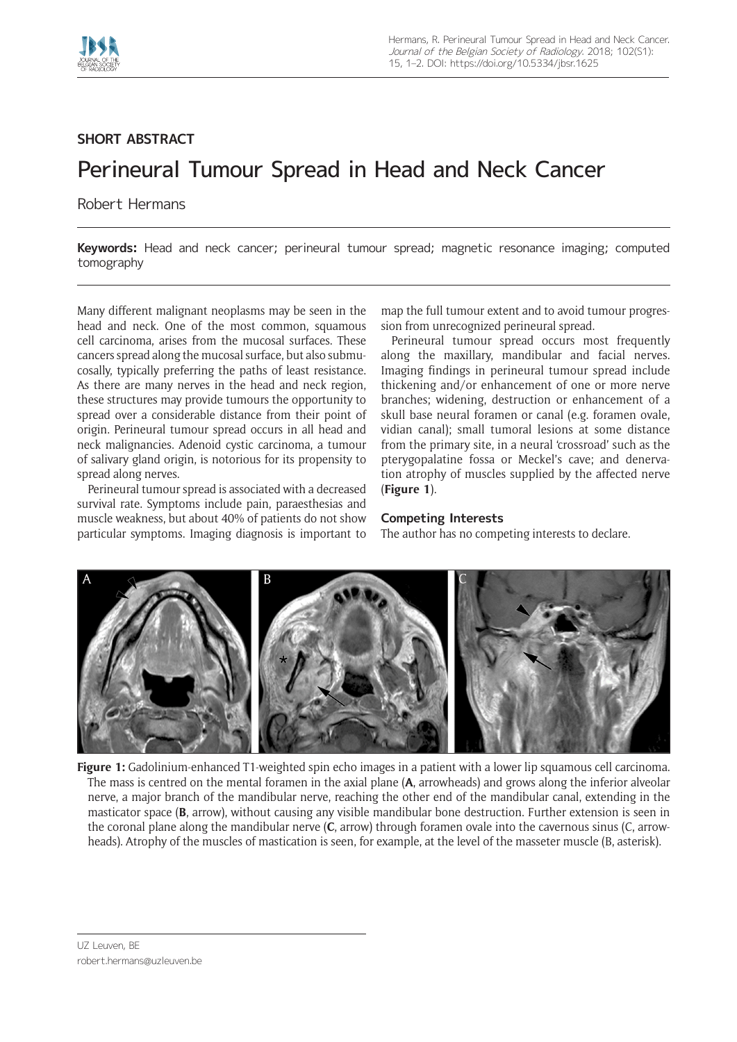

## **SHORT ABSTRACT**

## Perineural Tumour Spread in Head and Neck Cancer

Robert Hermans

**Keywords:** Head and neck cancer; perineural tumour spread; magnetic resonance imaging; computed tomography

Many different malignant neoplasms may be seen in the head and neck. One of the most common, squamous cell carcinoma, arises from the mucosal surfaces. These cancers spread along the mucosal surface, but also submucosally, typically preferring the paths of least resistance. As there are many nerves in the head and neck region, these structures may provide tumours the opportunity to spread over a considerable distance from their point of origin. Perineural tumour spread occurs in all head and neck malignancies. Adenoid cystic carcinoma, a tumour of salivary gland origin, is notorious for its propensity to spread along nerves.

Perineural tumour spread is associated with a decreased survival rate. Symptoms include pain, paraesthesias and muscle weakness, but about 40% of patients do not show particular symptoms. Imaging diagnosis is important to map the full tumour extent and to avoid tumour progression from unrecognized perineural spread.

Perineural tumour spread occurs most frequently along the maxillary, mandibular and facial nerves. Imaging findings in perineural tumour spread include thickening and/or enhancement of one or more nerve branches; widening, destruction or enhancement of a skull base neural foramen or canal (e.g. foramen ovale, vidian canal); small tumoral lesions at some distance from the primary site, in a neural 'crossroad' such as the pterygopalatine fossa or Meckel's cave; and denervation atrophy of muscles supplied by the affected nerve (**Figure 1**).

## **Competing Interests**

The author has no competing interests to declare.



**Figure 1:** Gadolinium-enhanced T1-weighted spin echo images in a patient with a lower lip squamous cell carcinoma. The mass is centred on the mental foramen in the axial plane (**A**, arrowheads) and grows along the inferior alveolar nerve, a major branch of the mandibular nerve, reaching the other end of the mandibular canal, extending in the masticator space (**B**, arrow), without causing any visible mandibular bone destruction. Further extension is seen in the coronal plane along the mandibular nerve (**C**, arrow) through foramen ovale into the cavernous sinus (C, arrowheads). Atrophy of the muscles of mastication is seen, for example, at the level of the masseter muscle (B, asterisk).